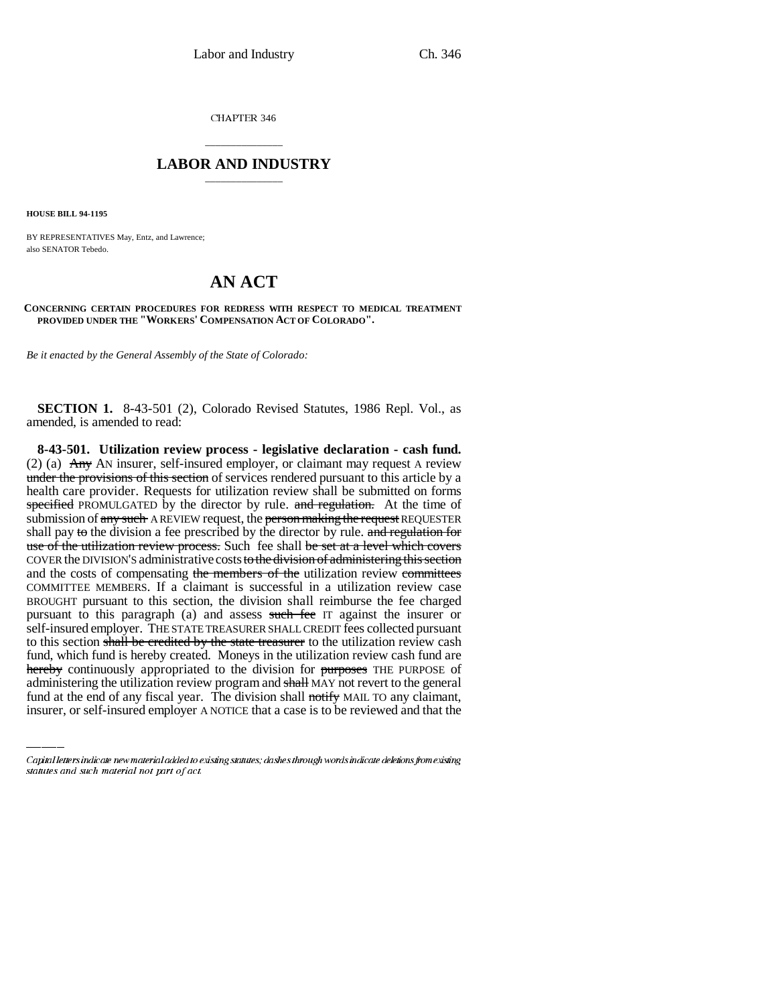CHAPTER 346

## \_\_\_\_\_\_\_\_\_\_\_\_\_\_\_ **LABOR AND INDUSTRY** \_\_\_\_\_\_\_\_\_\_\_\_\_\_\_

**HOUSE BILL 94-1195**

BY REPRESENTATIVES May, Entz, and Lawrence; also SENATOR Tebedo.

## **AN ACT**

**CONCERNING CERTAIN PROCEDURES FOR REDRESS WITH RESPECT TO MEDICAL TREATMENT PROVIDED UNDER THE "WORKERS' COMPENSATION ACT OF COLORADO".**

*Be it enacted by the General Assembly of the State of Colorado:*

**SECTION 1.** 8-43-501 (2), Colorado Revised Statutes, 1986 Repl. Vol., as amended, is amended to read:

fund, which fund is hereby created. Moneys in the utilization review cash fund are **8-43-501. Utilization review process - legislative declaration - cash fund.** (2) (a)  $\overrightarrow{Any}$  AN insurer, self-insured employer, or claimant may request A review under the provisions of this section of services rendered pursuant to this article by a health care provider. Requests for utilization review shall be submitted on forms specified PROMULGATED by the director by rule. and regulation. At the time of submission of any such A REVIEW request, the person making the request REQUESTER shall pay to the division a fee prescribed by the director by rule. and regulation for use of the utilization review process. Such fee shall be set at a level which covers COVER the DIVISION'S administrative costs to the division of administering this section and the costs of compensating the members of the utilization review committees COMMITTEE MEMBERS. If a claimant is successful in a utilization review case BROUGHT pursuant to this section, the division shall reimburse the fee charged pursuant to this paragraph (a) and assess such fee IT against the insurer or self-insured employer. THE STATE TREASURER SHALL CREDIT fees collected pursuant to this section shall be credited by the state treasurer to the utilization review cash hereby continuously appropriated to the division for purposes THE PURPOSE of administering the utilization review program and shall MAY not revert to the general fund at the end of any fiscal year. The division shall notify MAIL TO any claimant, insurer, or self-insured employer A NOTICE that a case is to be reviewed and that the

Capital letters indicate new material added to existing statutes; dashes through words indicate deletions from existing statutes and such material not part of act.